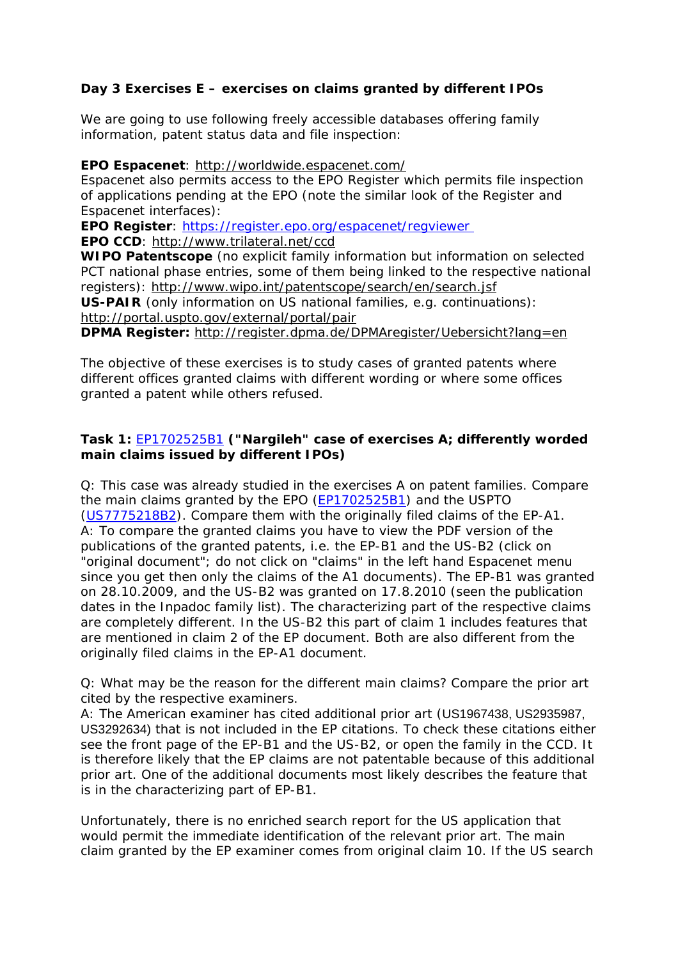## **Day 3 Exercises E – exercises on claims granted by different IPOs**

We are going to use following freely accessible databases offering family information, patent status data and file inspection:

**EPO Espacenet**:<http://worldwide.espacenet.com/>

Espacenet also permits access to the EPO Register which permits file inspection of applications pending at the EPO (note the similar look of the Register and Espacenet interfaces):

**EPO Register**:<https://register.epo.org/espacenet/regviewer>

**EPO CCD**:<http://www.trilateral.net/ccd>

**WIPO Patentscope** (no explicit family information but information on selected PCT national phase entries, some of them being linked to the respective national registers): <http://www.wipo.int/patentscope/search/en/search.jsf>

**US-PAIR** (only information on US national families, e.g. continuations): <http://portal.uspto.gov/external/portal/pair>

**DPMA Register:** <http://register.dpma.de/DPMAregister/Uebersicht?lang=en>

The objective of these exercises is to study cases of granted patents where different offices granted claims with different wording or where some offices granted a patent while others refused.

## **Task 1:** [EP1702525B1](http://worldwide.espacenet.com/publicationDetails/biblio?DB=EPODOC&II=0&ND=3&adjacent=true&locale=en_EP&FT=D&date=20060920&CC=EP&NR=1702525A1&KC=A1) **("Nargileh" case of exercises A; differently worded main claims issued by different IPOs)**

Q: This case was already studied in the exercises A on patent families. Compare the main claims granted by the EPO [\(EP1702525B1](http://worldwide.espacenet.com/publicationDetails/biblio?DB=EPODOC&II=0&ND=3&adjacent=true&locale=en_EP&FT=D&date=20060920&CC=EP&NR=1702525A1&KC=A1)) and the USPTO ([US7775218B2\)](http://worldwide.espacenet.com/publicationDetails/biblio?CC=US&NR=7775218B2&KC=B2&FT=D&ND=4&date=20100817&DB=worldwide.espacenet.com&locale=en_EP). Compare them with the originally filed claims of the EP-A1. A: To compare the granted claims you have to view the PDF version of the publications of the granted patents, i.e. the EP-B1 and the US-B2 (click on "original document"; do not click on "claims" in the left hand Espacenet menu since you get then only the claims of the A1 documents). The EP-B1 was granted on 28.10.2009, and the US-B2 was granted on 17.8.2010 (seen the publication dates in the Inpadoc family list). The characterizing part of the respective claims are completely different. In the US-B2 this part of claim 1 includes features that are mentioned in claim 2 of the EP document. Both are also different from the originally filed claims in the EP-A1 document.

Q: What may be the reason for the different main claims? Compare the prior art cited by the respective examiners.

A: The American examiner has cited additional prior art (US1967438, US2935987, US3292634) that is not included in the EP citations. To check these citations either see the front page of the EP-B1 and the US-B2, or open the family in the CCD. It is therefore likely that the EP claims are not patentable because of this additional prior art. One of the additional documents most likely describes the feature that is in the characterizing part of EP-B1.

Unfortunately, there is no enriched search report for the US application that would permit the immediate identification of the relevant prior art. The main claim granted by the EP examiner comes from original claim 10. If the US search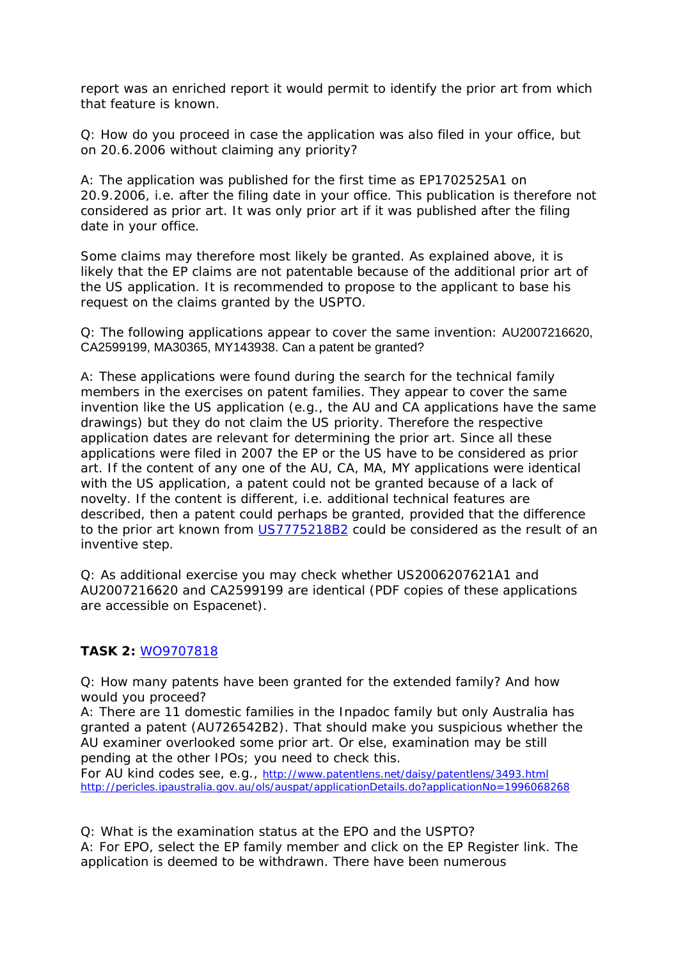report was an enriched report it would permit to identify the prior art from which that feature is known.

Q: How do you proceed in case the application was also filed in your office, but on 20.6.2006 without claiming any priority?

A: The application was published for the first time as EP1702525A1 on 20.9.2006, i.e. after the filing date in your office. This publication is therefore not considered as prior art. It was only prior art if it was published after the filing date in your office.

Some claims may therefore most likely be granted. As explained above, it is likely that the EP claims are not patentable because of the additional prior art of the US application. It is recommended to propose to the applicant to base his request on the claims granted by the USPTO.

Q: The following applications appear to cover the same invention: AU2007216620, CA2599199, MA30365, MY143938. Can a patent be granted?

A: These applications were found during the search for the technical family members in the exercises on patent families. They appear to cover the same invention like the US application (e.g., the AU and CA applications have the same drawings) but they do not claim the US priority. Therefore the respective application dates are relevant for determining the prior art. Since all these applications were filed in 2007 the EP or the US have to be considered as prior art. If the content of any one of the AU, CA, MA, MY applications were identical with the US application, a patent could not be granted because of a lack of novelty. If the content is different, i.e. additional technical features are described, then a patent could perhaps be granted, provided that the difference to the prior art known from [US7775218B2](http://worldwide.espacenet.com/publicationDetails/biblio?CC=US&NR=7775218B2&KC=B2&FT=D&ND=4&date=20100817&DB=worldwide.espacenet.com&locale=en_EP) could be considered as the result of an inventive step.

Q: As additional exercise you may check whether US2006207621A1 and AU2007216620 and CA2599199 are identical (PDF copies of these applications are accessible on Espacenet).

## **TASK 2:** [WO9707818](http://worldwide.espacenet.com/publicationDetails/biblio?DB=EPODOC&II=9&ND=2&adjacent=true&locale=en_EP&FT=D&date=19970306&CC=WO&NR=9707818A1&KC=A1)

Q: How many patents have been granted for the extended family? And how would you proceed?

A: There are 11 domestic families in the Inpadoc family but only Australia has granted a patent (AU726542B2). That should make you suspicious whether the AU examiner overlooked some prior art. Or else, examination may be still pending at the other IPOs; you need to check this.

For AU kind codes see, e.g.,<http://www.patentlens.net/daisy/patentlens/3493.html> <http://pericles.ipaustralia.gov.au/ols/auspat/applicationDetails.do?applicationNo=1996068268>

Q: What is the examination status at the EPO and the USPTO? A: For EPO, select the EP family member and click on the EP Register link. The application is deemed to be withdrawn. There have been numerous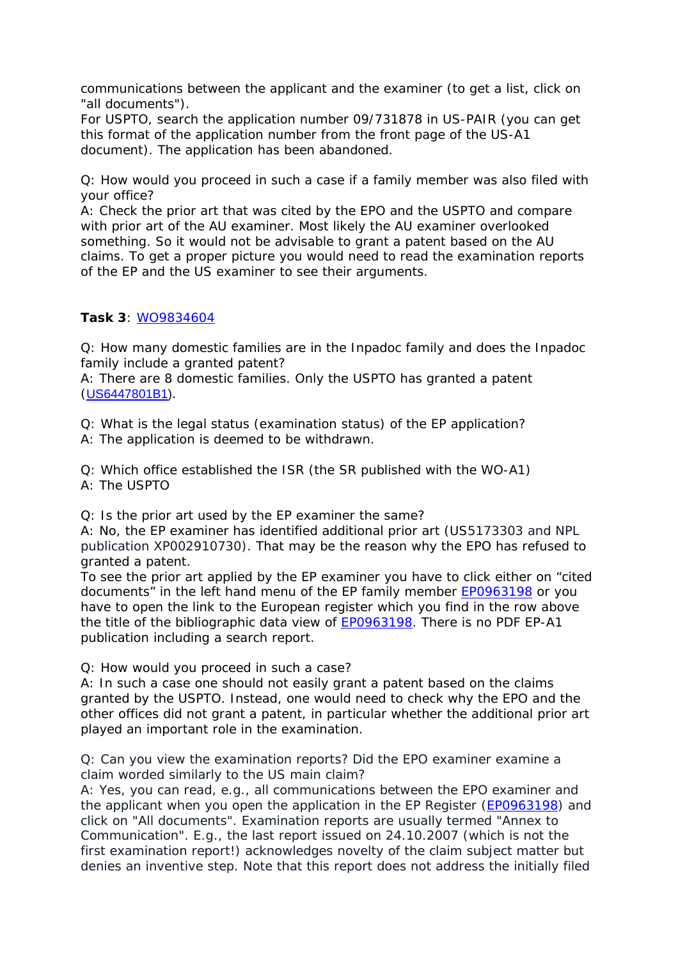communications between the applicant and the examiner (to get a list, click on "all documents").

For USPTO, search the application number 09/731878 in US-PAIR (you can get this format of the application number from the front page of the US-A1 document). The application has been abandoned.

Q: How would you proceed in such a case if a family member was also filed with your office?

A: Check the prior art that was cited by the EPO and the USPTO and compare with prior art of the AU examiner. Most likely the AU examiner overlooked something. So it would not be advisable to grant a patent based on the AU claims. To get a proper picture you would need to read the examination reports of the EP and the US examiner to see their arguments.

## **Task 3**: [WO9834604](http://worldwide.espacenet.com/publicationDetails/biblio?CC=EP&NR=0963198&KC=&locale=en_EP&FT=E)

Q: How many domestic families are in the Inpadoc family and does the Inpadoc family include a granted patent?

A: There are 8 domestic families. Only the USPTO has granted a patent ([US6447801B1](http://worldwide.espacenet.com/publicationDetails/biblio?II=6&ND=3&adjacent=true&locale=en_EP&FT=D&date=20020910&CC=US&NR=6447801B1&KC=B1)).

Q: What is the legal status (examination status) of the EP application? A: The application is deemed to be withdrawn.

Q: Which office established the ISR (the SR published with the WO-A1) A: The USPTO

Q: Is the prior art used by the EP examiner the same?

A: No, the EP examiner has identified additional prior art (US5173303 and NPL publication XP002910730). That may be the reason why the EPO has refused to granted a patent.

To see the prior art applied by the EP examiner you have to click either on "cited documents" in the left hand menu of the EP family member [EP0963198](http://worldwide.espacenet.com/publicationDetails/biblio?DB=EPODOC&II=2&ND=7&adjacent=true&locale=en_EP&FT=D&date=19991215&CC=EP&NR=0963198A1&KC=A1) or you have to open the link to the European register which you find in the row above the title of the bibliographic data view of **EP0963198**. There is no PDF EP-A1 publication including a search report.

Q: How would you proceed in such a case?

A: In such a case one should not easily grant a patent based on the claims granted by the USPTO. Instead, one would need to check why the EPO and the other offices did not grant a patent, in particular whether the additional prior art played an important role in the examination.

Q: Can you view the examination reports? Did the EPO examiner examine a claim worded similarly to the US main claim?

A: Yes, you can read, e.g., all communications between the EPO examiner and the applicant when you open the application in the EP Register [\(EP0963198\)](https://register.epo.org/espacenet/application?number=EP98906225&lng=en&tab=main) and click on "All documents". Examination reports are usually termed "Annex to Communication". E.g., the last report issued on 24.10.2007 (which is not the first examination report!) acknowledges novelty of the claim subject matter but denies an inventive step. Note that this report does not address the initially filed